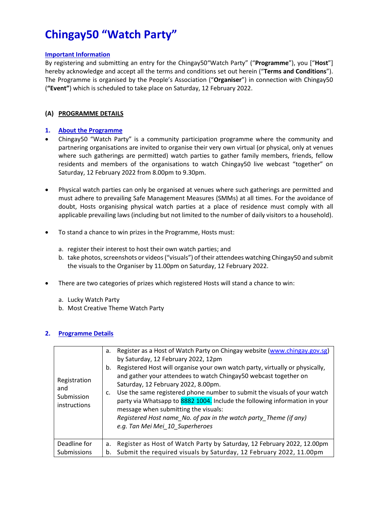# **Chingay50 "Watch Party"**

#### **Important Information**

By registering and submitting an entry for the Chingay50"Watch Party" ("**Programme**"), you ["**Host**"] hereby acknowledge and accept all the terms and conditions set out herein ("**Terms and Conditions**"). The Programme is organised by the People's Association ("**Organiser**") in connection with Chingay50 (**"Event"**) which is scheduled to take place on Saturday, 12 February 2022.

#### **(A) PROGRAMME DETAILS**

#### **1. About the Programme**

- Chingay50 "Watch Party" is a community participation programme where the community and partnering organisations are invited to organise their very own virtual (or physical, only at venues where such gatherings are permitted) watch parties to gather family members, friends, fellow residents and members of the organisations to watch Chingay50 live webcast "together" on Saturday, 12 February 2022 from 8.00pm to 9.30pm.
- Physical watch parties can only be organised at venues where such gatherings are permitted and must adhere to prevailing Safe Management Measures (SMMs) at all times. For the avoidance of doubt, Hosts organising physical watch parties at a place of residence must comply with all applicable prevailing laws (including but not limited to the number of daily visitors to a household).
- To stand a chance to win prizes in the Programme, Hosts must:
	- a. register their interest to host their own watch parties; and
	- b. take photos, screenshots or videos("visuals") of their attendees watching Chingay50 and submit the visuals to the Organiser by 11.00pm on Saturday, 12 February 2022.
- There are two categories of prizes which registered Hosts will stand a chance to win:
	- a. Lucky Watch Party
	- b. Most Creative Theme Watch Party

## **2. Programme Details**

| Registration<br>and<br>Submission<br>instructions | Register as a Host of Watch Party on Chingay website (www.chingay.gov.sg)<br>a.<br>by Saturday, 12 February 2022, 12pm<br>Registered Host will organise your own watch party, virtually or physically,<br>b.<br>and gather your attendees to watch Chingay50 webcast together on<br>Saturday, 12 February 2022, 8.00pm.<br>Use the same registered phone number to submit the visuals of your watch<br>C.<br>party via Whatsapp to 8882 1004. Include the following information in your<br>message when submitting the visuals:<br>Registered Host name_No. of pax in the watch party_Theme (if any)<br>e.g. Tan Mei Mei 10 Superheroes |
|---------------------------------------------------|-----------------------------------------------------------------------------------------------------------------------------------------------------------------------------------------------------------------------------------------------------------------------------------------------------------------------------------------------------------------------------------------------------------------------------------------------------------------------------------------------------------------------------------------------------------------------------------------------------------------------------------------|
| Deadline for<br>Submissions                       | Register as Host of Watch Party by Saturday, 12 February 2022, 12.00pm<br>a.<br>Submit the required visuals by Saturday, 12 February 2022, 11.00pm<br>b.                                                                                                                                                                                                                                                                                                                                                                                                                                                                                |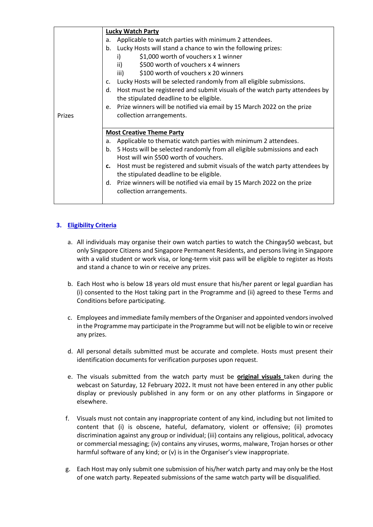|               | <b>Lucky Watch Party</b>                                                               |
|---------------|----------------------------------------------------------------------------------------|
|               | Applicable to watch parties with minimum 2 attendees.<br>a.                            |
|               | Lucky Hosts will stand a chance to win the following prizes:<br>b.                     |
|               | \$1,000 worth of vouchers x 1 winner<br>i)                                             |
|               | \$500 worth of vouchers x 4 winners<br>ii)                                             |
|               | iii)<br>\$100 worth of vouchers x 20 winners                                           |
|               | Lucky Hosts will be selected randomly from all eligible submissions.<br>C <sub>1</sub> |
|               | Host must be registered and submit visuals of the watch party attendees by<br>d.       |
|               | the stipulated deadline to be eligible.                                                |
|               | e. Prize winners will be notified via email by 15 March 2022 on the prize              |
| <b>Prizes</b> | collection arrangements.                                                               |
|               |                                                                                        |
|               | <b>Most Creative Theme Party</b>                                                       |
|               | Applicable to thematic watch parties with minimum 2 attendees.<br>a.                   |
|               | 5 Hosts will be selected randomly from all eligible submissions and each<br>b.         |
|               | Host will win \$500 worth of vouchers.                                                 |
|               | Host must be registered and submit visuals of the watch party attendees by<br>c.       |
|               | the stipulated deadline to be eligible.                                                |
|               | d. Prize winners will be notified via email by 15 March 2022 on the prize              |
|               | collection arrangements.                                                               |
|               |                                                                                        |

## **3. Eligibility Criteria**

- a. All individuals may organise their own watch parties to watch the Chingay50 webcast, but only Singapore Citizens and Singapore Permanent Residents, and persons living in Singapore with a valid student or work visa, or long-term visit pass will be eligible to register as Hosts and stand a chance to win or receive any prizes.
- b. Each Host who is below 18 years old must ensure that his/her parent or legal guardian has (i) consented to the Host taking part in the Programme and (ii) agreed to these Terms and Conditions before participating.
- c. Employees and immediate family members of the Organiser and appointed vendors involved in the Programme may participate in the Programme but will not be eligible to win or receive any prizes.
- d. All personal details submitted must be accurate and complete. Hosts must present their identification documents for verification purposes upon request.
- e. The visuals submitted from the watch party must be **original visuals** taken during the webcast on Saturday, 12 February 2022**.** It must not have been entered in any other public display or previously published in any form or on any other platforms in Singapore or elsewhere.
- f. Visuals must not contain any inappropriate content of any kind, including but not limited to content that (i) is obscene, hateful, defamatory, violent or offensive; (ii) promotes discrimination against any group or individual; (iii) contains any religious, political, advocacy or commercial messaging; (iv) contains any viruses, worms, malware, Trojan horses or other harmful software of any kind; or (v) is in the Organiser's view inappropriate.
- g. Each Host may only submit one submission of his/her watch party and may only be the Host of one watch party. Repeated submissions of the same watch party will be disqualified.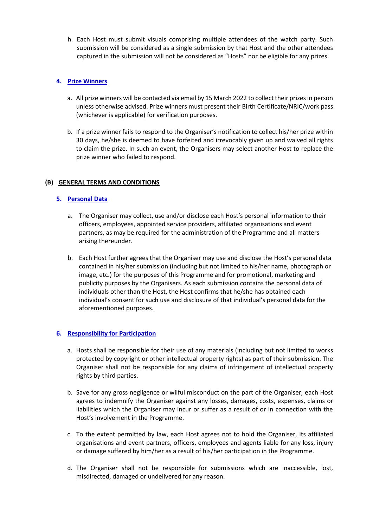h. Each Host must submit visuals comprising multiple attendees of the watch party. Such submission will be considered as a single submission by that Host and the other attendees captured in the submission will not be considered as "Hosts" nor be eligible for any prizes.

## **4. Prize Winners**

- a. All prize winners will be contacted via email by 15 March 2022 to collect their prizes in person unless otherwise advised. Prize winners must present their Birth Certificate/NRIC/work pass (whichever is applicable) for verification purposes.
- b. If a prize winner fails to respond to the Organiser's notification to collect his/her prize within 30 days, he/she is deemed to have forfeited and irrevocably given up and waived all rights to claim the prize. In such an event, the Organisers may select another Host to replace the prize winner who failed to respond.

## **(B) GENERAL TERMS AND CONDITIONS**

## **5. Personal Data**

- a. The Organiser may collect, use and/or disclose each Host's personal information to their officers, employees, appointed service providers, affiliated organisations and event partners, as may be required for the administration of the Programme and all matters arising thereunder.
- b. Each Host further agrees that the Organiser may use and disclose the Host's personal data contained in his/her submission (including but not limited to his/her name, photograph or image, etc.) for the purposes of this Programme and for promotional, marketing and publicity purposes by the Organisers. As each submission contains the personal data of individuals other than the Host, the Host confirms that he/she has obtained each individual's consent for such use and disclosure of that individual's personal data for the aforementioned purposes.

## **6. Responsibility for Participation**

- a. Hosts shall be responsible for their use of any materials (including but not limited to works protected by copyright or other intellectual property rights) as part of their submission. The Organiser shall not be responsible for any claims of infringement of intellectual property rights by third parties.
- b. Save for any gross negligence or wilful misconduct on the part of the Organiser, each Host agrees to indemnify the Organiser against any losses, damages, costs, expenses, claims or liabilities which the Organiser may incur or suffer as a result of or in connection with the Host's involvement in the Programme.
- c. To the extent permitted by law, each Host agrees not to hold the Organiser, its affiliated organisations and event partners, officers, employees and agents liable for any loss, injury or damage suffered by him/her as a result of his/her participation in the Programme.
- d. The Organiser shall not be responsible for submissions which are inaccessible, lost, misdirected, damaged or undelivered for any reason.